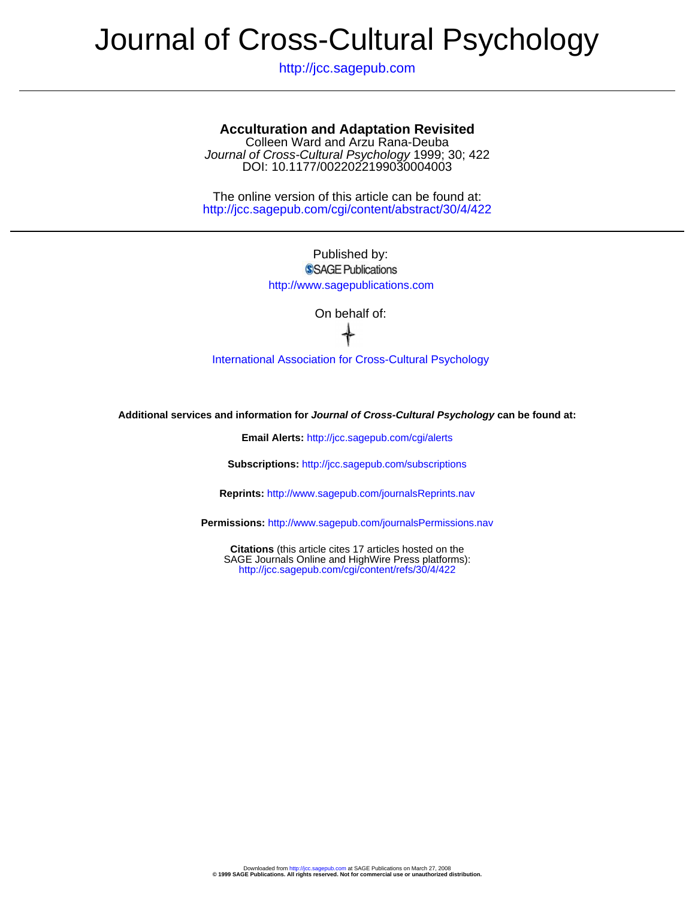# Journal of Cross-Cultural Psychology

http://jcc.sagepub.com

# **Acculturation and Adaptation Revisited**

DOI: 10.1177/0022022199030004003 Journal of Cross-Cultural Psychology 1999; 30; 422 Colleen Ward and Arzu Rana-Deuba

http://jcc.sagepub.com/cgi/content/abstract/30/4/422 The online version of this article can be found at:

> Published by: SSAGE Publications

http://www.sagepublications.com

On behalf of:

[International Association for Cross-Cultural Psychology](http://www.iaccp.org/)

**Additional services and information for Journal of Cross-Cultural Psychology can be found at:**

**Email Alerts:** <http://jcc.sagepub.com/cgi/alerts>

**Subscriptions:** <http://jcc.sagepub.com/subscriptions>

**Reprints:** <http://www.sagepub.com/journalsReprints.nav>

**Permissions:** <http://www.sagepub.com/journalsPermissions.nav>

<http://jcc.sagepub.com/cgi/content/refs/30/4/422> SAGE Journals Online and HighWire Press platforms): **Citations** (this article cites 17 articles hosted on the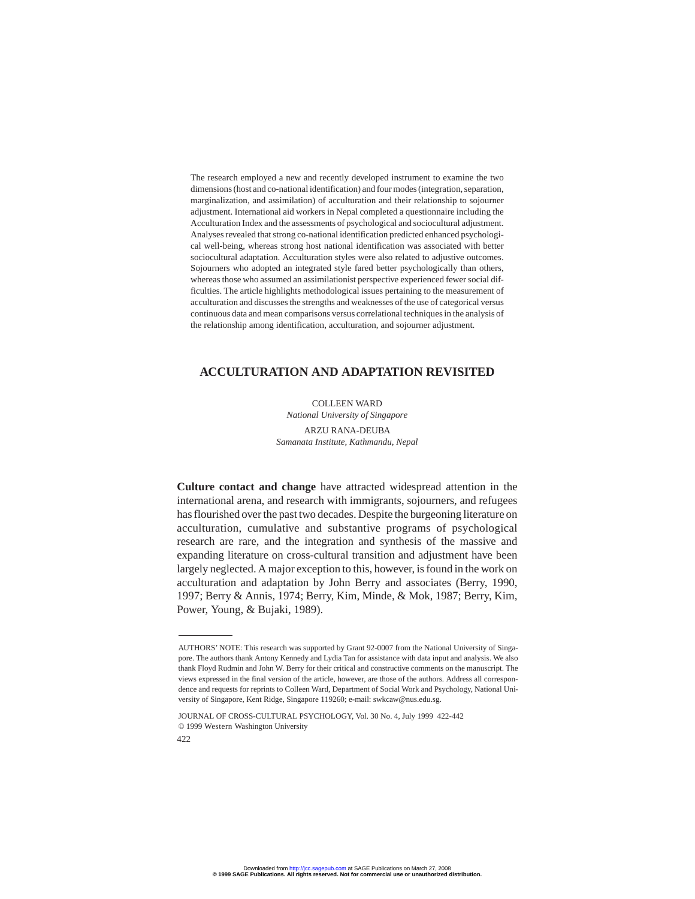The research employed a new and recently developed instrument to examine the two dimensions (host and co-national identification) and four modes (integration, separation, marginalization, and assimilation) of acculturation and their relationship to sojourner adjustment. International aid workers in Nepal completed a questionnaire including the Acculturation Index and the assessments of psychological and sociocultural adjustment. Analyses revealed that strong co-national identification predicted enhanced psychological well-being, whereas strong host national identification was associated with better sociocultural adaptation. Acculturation styles were also related to adjustive outcomes. Sojourners who adopted an integrated style fared better psychologically than others, whereas those who assumed an assimilationist perspective experienced fewer social difficulties. The article highlights methodological issues pertaining to the measurement of acculturation and discusses the strengths and weaknesses of the use of categorical versus continuous data and mean comparisons versus correlational techniques in the analysis of the relationship among identification, acculturation, and sojourner adjustment.

# **ACCULTURATION AND ADAPTATION REVISITED**

COLLEEN WARD

*National University of Singapore* ARZU RANA-DEUBA *Samanata Institute, Kathmandu, Nepal*

**Culture contact and change** have attracted widespread attention in the international arena, and research with immigrants, sojourners, and refugees has flourished over the past two decades. Despite the burgeoning literature on acculturation, cumulative and substantive programs of psychological research are rare, and the integration and synthesis of the massive and expanding literature on cross-cultural transition and adjustment have been largely neglected. A major exception to this, however, is found in the work on acculturation and adaptation by John Berry and associates (Berry, 1990, 1997; Berry & Annis, 1974; Berry, Kim, Minde, & Mok, 1987; Berry, Kim, Power, Young, & Bujaki, 1989).

AUTHORS' NOTE: This research was supported by Grant 92-0007 from the National University of Singapore. The authors thank Antony Kennedy and Lydia Tan for assistance with data input and analysis. We also thank Floyd Rudmin and John W. Berry for their critical and constructive comments on the manuscript. The views expressed in the final version of the article, however, are those of the authors. Address all correspondence and requests for reprints to Colleen Ward, Department of Social Work and Psychology, National University of Singapore, Kent Ridge, Singapore 119260; e-mail: swkcaw@nus.edu.sg.

JOURNAL OF CROSS-CULTURAL PSYCHOLOGY, Vol. 30 No. 4, July 1999 422-442 © 1999 Western Washington University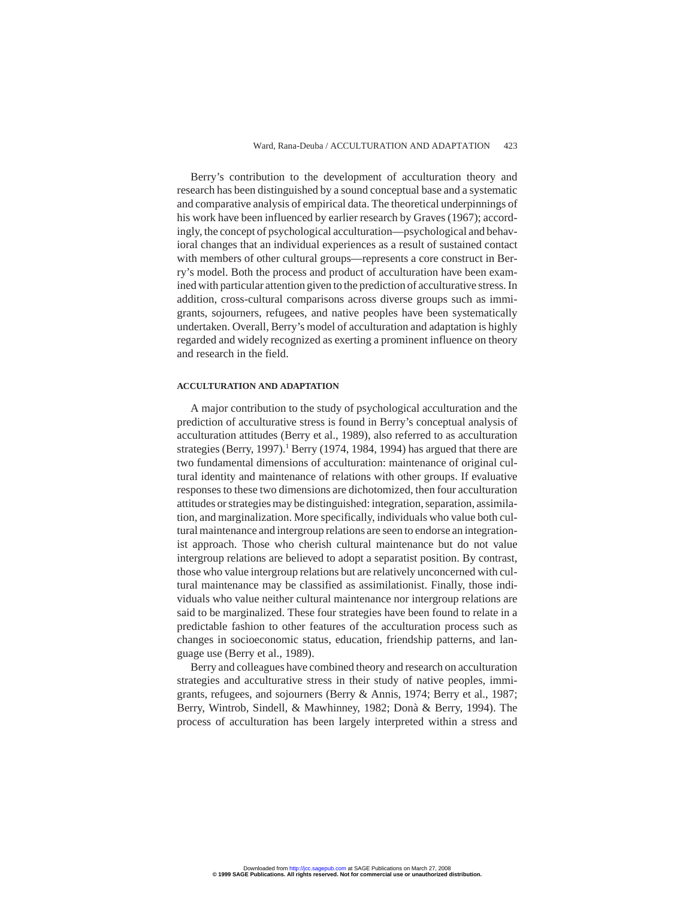Berry's contribution to the development of acculturation theory and research has been distinguished by a sound conceptual base and a systematic and comparative analysis of empirical data. The theoretical underpinnings of his work have been influenced by earlier research by Graves (1967); accordingly, the concept of psychological acculturation—psychological and behavioral changes that an individual experiences as a result of sustained contact with members of other cultural groups—represents a core construct in Berry's model. Both the process and product of acculturation have been examined with particular attention given to the prediction of acculturative stress. In addition, cross-cultural comparisons across diverse groups such as immigrants, sojourners, refugees, and native peoples have been systematically undertaken. Overall, Berry's model of acculturation and adaptation is highly regarded and widely recognized as exerting a prominent influence on theory and research in the field.

## **ACCULTURATION AND ADAPTATION**

A major contribution to the study of psychological acculturation and the prediction of acculturative stress is found in Berry's conceptual analysis of acculturation attitudes (Berry et al., 1989), also referred to as acculturation strategies (Berry, 1997).<sup>1</sup> Berry (1974, 1984, 1994) has argued that there are two fundamental dimensions of acculturation: maintenance of original cultural identity and maintenance of relations with other groups. If evaluative responses to these two dimensions are dichotomized, then four acculturation attitudes or strategies may be distinguished: integration, separation, assimilation, and marginalization. More specifically, individuals who value both cultural maintenance and intergroup relations are seen to endorse an integrationist approach. Those who cherish cultural maintenance but do not value intergroup relations are believed to adopt a separatist position. By contrast, those who value intergroup relations but are relatively unconcerned with cultural maintenance may be classified as assimilationist. Finally, those individuals who value neither cultural maintenance nor intergroup relations are said to be marginalized. These four strategies have been found to relate in a predictable fashion to other features of the acculturation process such as changes in socioeconomic status, education, friendship patterns, and language use (Berry et al., 1989).

Berry and colleagues have combined theory and research on acculturation strategies and acculturative stress in their study of native peoples, immigrants, refugees, and sojourners (Berry & Annis, 1974; Berry et al., 1987; Berry, Wintrob, Sindell, & Mawhinney, 1982; Donà & Berry, 1994). The process of acculturation has been largely interpreted within a stress and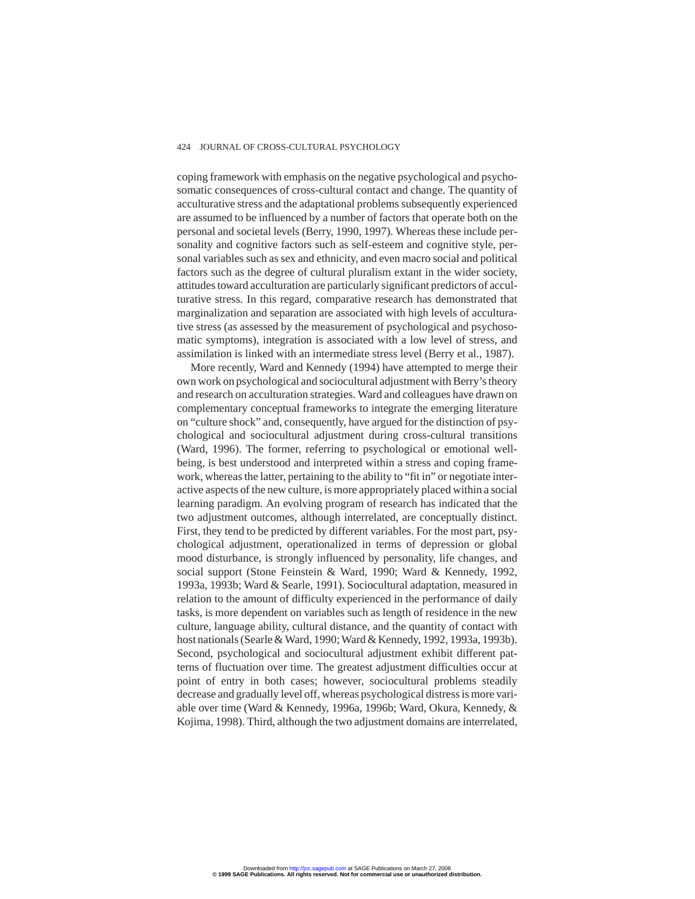coping framework with emphasis on the negative psychological and psychosomatic consequences of cross-cultural contact and change. The quantity of acculturative stress and the adaptational problems subsequently experienced are assumed to be influenced by a number of factors that operate both on the personal and societal levels (Berry, 1990, 1997). Whereas these include personality and cognitive factors such as self-esteem and cognitive style, personal variables such as sex and ethnicity, and even macro social and political factors such as the degree of cultural pluralism extant in the wider society, attitudes toward acculturation are particularly significant predictors of acculturative stress. In this regard, comparative research has demonstrated that marginalization and separation are associated with high levels of acculturative stress (as assessed by the measurement of psychological and psychosomatic symptoms), integration is associated with a low level of stress, and assimilation is linked with an intermediate stress level (Berry et al., 1987).

More recently, Ward and Kennedy (1994) have attempted to merge their own work on psychological and sociocultural adjustment with Berry's theory and research on acculturation strategies. Ward and colleagues have drawn on complementary conceptual frameworks to integrate the emerging literature on "culture shock" and, consequently, have argued for the distinction of psychological and sociocultural adjustment during cross-cultural transitions (Ward, 1996). The former, referring to psychological or emotional wellbeing, is best understood and interpreted within a stress and coping framework, whereas the latter, pertaining to the ability to "fit in" or negotiate interactive aspects of the new culture, is more appropriately placed within a social learning paradigm. An evolving program of research has indicated that the two adjustment outcomes, although interrelated, are conceptually distinct. First, they tend to be predicted by different variables. For the most part, psychological adjustment, operationalized in terms of depression or global mood disturbance, is strongly influenced by personality, life changes, and social support (Stone Feinstein & Ward, 1990; Ward & Kennedy, 1992, 1993a, 1993b; Ward & Searle, 1991). Sociocultural adaptation, measured in relation to the amount of difficulty experienced in the performance of daily tasks, is more dependent on variables such as length of residence in the new culture, language ability, cultural distance, and the quantity of contact with host nationals (Searle & Ward, 1990; Ward & Kennedy, 1992, 1993a, 1993b). Second, psychological and sociocultural adjustment exhibit different patterns of fluctuation over time. The greatest adjustment difficulties occur at point of entry in both cases; however, sociocultural problems steadily decrease and gradually level off, whereas psychological distress is more variable over time (Ward & Kennedy, 1996a, 1996b; Ward, Okura, Kennedy, & Kojima, 1998). Third, although the two adjustment domains are interrelated,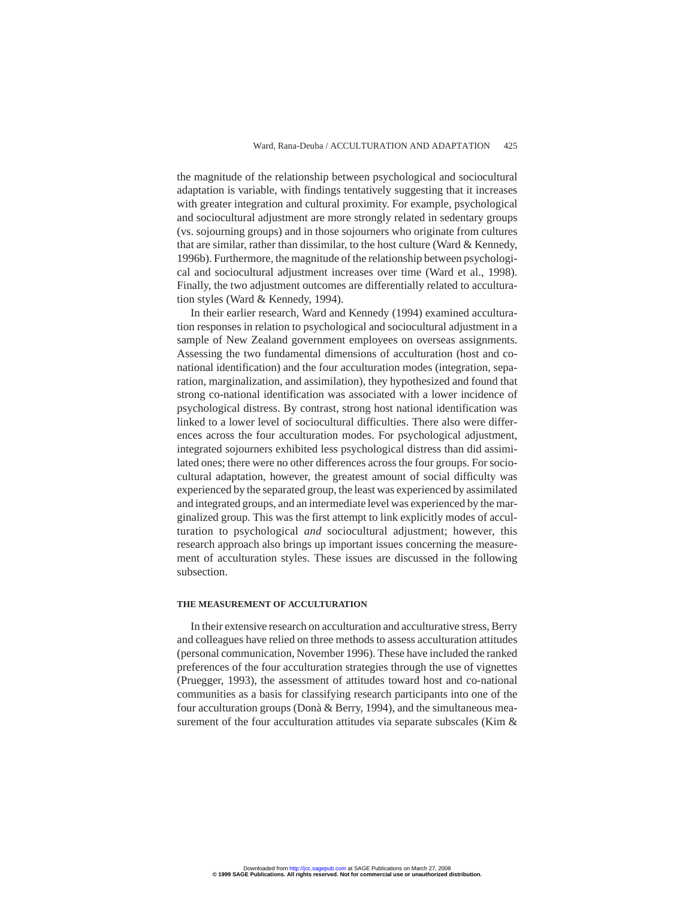the magnitude of the relationship between psychological and sociocultural adaptation is variable, with findings tentatively suggesting that it increases with greater integration and cultural proximity. For example, psychological and sociocultural adjustment are more strongly related in sedentary groups (vs. sojourning groups) and in those sojourners who originate from cultures that are similar, rather than dissimilar, to the host culture (Ward  $&$  Kennedy, 1996b). Furthermore, the magnitude of the relationship between psychological and sociocultural adjustment increases over time (Ward et al., 1998). Finally, the two adjustment outcomes are differentially related to acculturation styles (Ward & Kennedy, 1994).

In their earlier research, Ward and Kennedy (1994) examined acculturation responses in relation to psychological and sociocultural adjustment in a sample of New Zealand government employees on overseas assignments. Assessing the two fundamental dimensions of acculturation (host and conational identification) and the four acculturation modes (integration, separation, marginalization, and assimilation), they hypothesized and found that strong co-national identification was associated with a lower incidence of psychological distress. By contrast, strong host national identification was linked to a lower level of sociocultural difficulties. There also were differences across the four acculturation modes. For psychological adjustment, integrated sojourners exhibited less psychological distress than did assimilated ones; there were no other differences across the four groups. For sociocultural adaptation, however, the greatest amount of social difficulty was experienced by the separated group, the least was experienced by assimilated and integrated groups, and an intermediate level was experienced by the marginalized group. This was the first attempt to link explicitly modes of acculturation to psychological *and* sociocultural adjustment; however, this research approach also brings up important issues concerning the measurement of acculturation styles. These issues are discussed in the following subsection.

#### **THE MEASUREMENT OF ACCULTURATION**

In their extensive research on acculturation and acculturative stress, Berry and colleagues have relied on three methods to assess acculturation attitudes (personal communication, November 1996). These have included the ranked preferences of the four acculturation strategies through the use of vignettes (Pruegger, 1993), the assessment of attitudes toward host and co-national communities as a basis for classifying research participants into one of the four acculturation groups (Donà & Berry, 1994), and the simultaneous measurement of the four acculturation attitudes via separate subscales (Kim &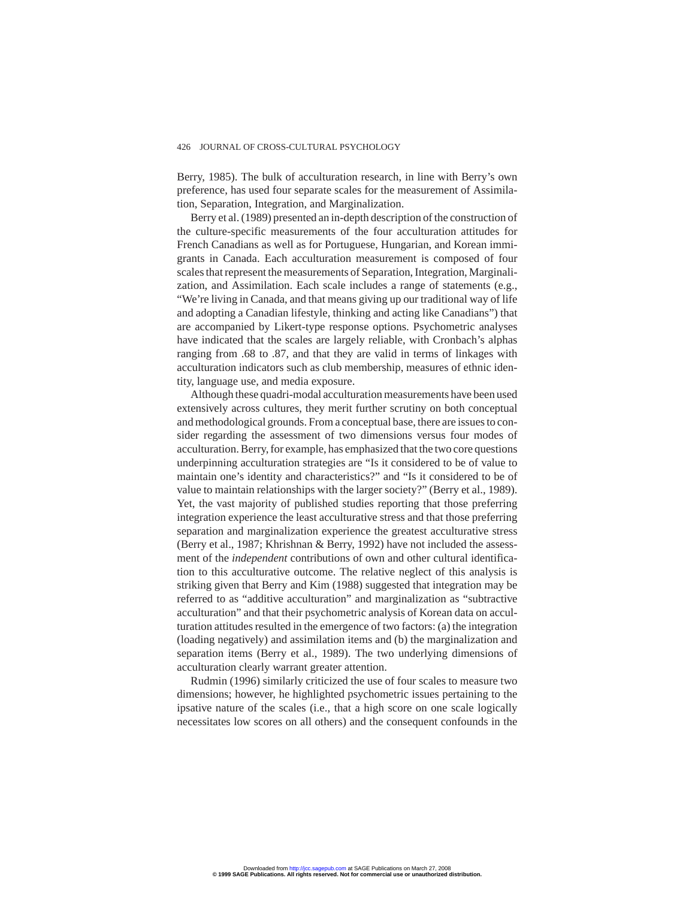Berry, 1985). The bulk of acculturation research, in line with Berry's own preference, has used four separate scales for the measurement of Assimilation, Separation, Integration, and Marginalization.

Berry et al. (1989) presented an in-depth description of the construction of the culture-specific measurements of the four acculturation attitudes for French Canadians as well as for Portuguese, Hungarian, and Korean immigrants in Canada. Each acculturation measurement is composed of four scales that represent the measurements of Separation, Integration, Marginalization, and Assimilation. Each scale includes a range of statements (e.g., "We're living in Canada, and that means giving up our traditional way of life and adopting a Canadian lifestyle, thinking and acting like Canadians") that are accompanied by Likert-type response options. Psychometric analyses have indicated that the scales are largely reliable, with Cronbach's alphas ranging from .68 to .87, and that they are valid in terms of linkages with acculturation indicators such as club membership, measures of ethnic identity, language use, and media exposure.

Although these quadri-modal acculturation measurements have been used extensively across cultures, they merit further scrutiny on both conceptual and methodological grounds. From a conceptual base, there are issues to consider regarding the assessment of two dimensions versus four modes of acculturation. Berry, for example, has emphasized that the two core questions underpinning acculturation strategies are "Is it considered to be of value to maintain one's identity and characteristics?" and "Is it considered to be of value to maintain relationships with the larger society?" (Berry et al., 1989). Yet, the vast majority of published studies reporting that those preferring integration experience the least acculturative stress and that those preferring separation and marginalization experience the greatest acculturative stress (Berry et al., 1987; Khrishnan & Berry, 1992) have not included the assessment of the *independent* contributions of own and other cultural identification to this acculturative outcome. The relative neglect of this analysis is striking given that Berry and Kim (1988) suggested that integration may be referred to as "additive acculturation" and marginalization as "subtractive acculturation" and that their psychometric analysis of Korean data on acculturation attitudes resulted in the emergence of two factors: (a) the integration (loading negatively) and assimilation items and (b) the marginalization and separation items (Berry et al., 1989). The two underlying dimensions of acculturation clearly warrant greater attention.

Rudmin (1996) similarly criticized the use of four scales to measure two dimensions; however, he highlighted psychometric issues pertaining to the ipsative nature of the scales (i.e., that a high score on one scale logically necessitates low scores on all others) and the consequent confounds in the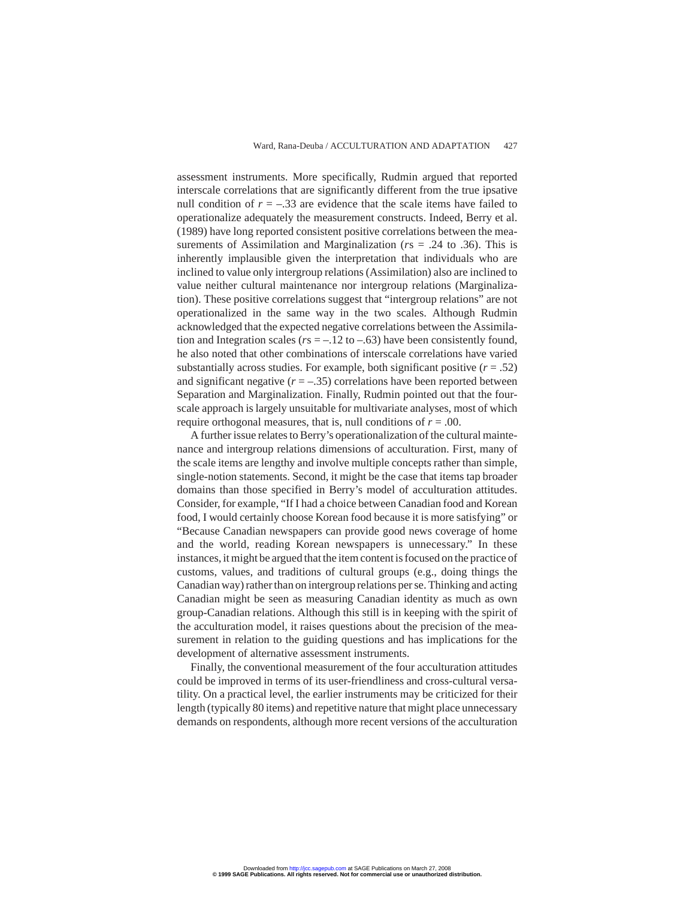assessment instruments. More specifically, Rudmin argued that reported interscale correlations that are significantly different from the true ipsative null condition of  $r = -0.33$  are evidence that the scale items have failed to operationalize adequately the measurement constructs. Indeed, Berry et al. (1989) have long reported consistent positive correlations between the measurements of Assimilation and Marginalization (*r*s = .24 to .36). This is inherently implausible given the interpretation that individuals who are inclined to value only intergroup relations (Assimilation) also are inclined to value neither cultural maintenance nor intergroup relations (Marginalization). These positive correlations suggest that "intergroup relations" are not operationalized in the same way in the two scales. Although Rudmin acknowledged that the expected negative correlations between the Assimilation and Integration scales ( $rs = -12$  to  $-.63$ ) have been consistently found, he also noted that other combinations of interscale correlations have varied substantially across studies. For example, both significant positive  $(r = .52)$ and significant negative  $(r = -.35)$  correlations have been reported between Separation and Marginalization. Finally, Rudmin pointed out that the fourscale approach is largely unsuitable for multivariate analyses, most of which require orthogonal measures, that is, null conditions of *r* = .00.

A further issue relates to Berry's operationalization of the cultural maintenance and intergroup relations dimensions of acculturation. First, many of the scale items are lengthy and involve multiple concepts rather than simple, single-notion statements. Second, it might be the case that items tap broader domains than those specified in Berry's model of acculturation attitudes. Consider, for example, "If I had a choice between Canadian food and Korean food, I would certainly choose Korean food because it is more satisfying" or "Because Canadian newspapers can provide good news coverage of home and the world, reading Korean newspapers is unnecessary." In these instances, it might be argued that the item content is focused on the practice of customs, values, and traditions of cultural groups (e.g., doing things the Canadian way) rather than on intergroup relations per se. Thinking and acting Canadian might be seen as measuring Canadian identity as much as own group-Canadian relations. Although this still is in keeping with the spirit of the acculturation model, it raises questions about the precision of the measurement in relation to the guiding questions and has implications for the development of alternative assessment instruments.

Finally, the conventional measurement of the four acculturation attitudes could be improved in terms of its user-friendliness and cross-cultural versatility. On a practical level, the earlier instruments may be criticized for their length (typically 80 items) and repetitive nature that might place unnecessary demands on respondents, although more recent versions of the acculturation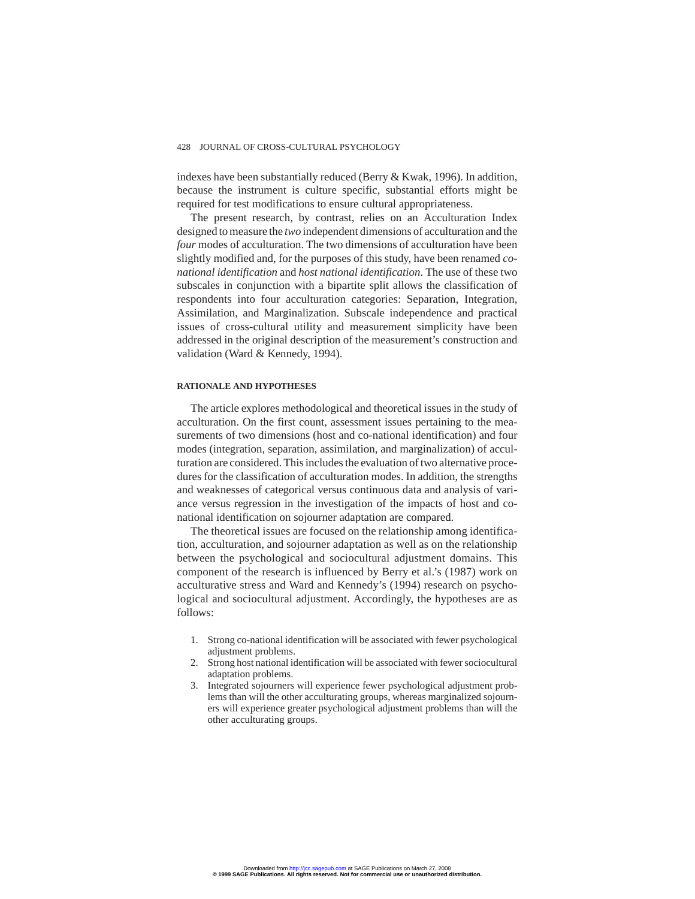indexes have been substantially reduced (Berry & Kwak, 1996). In addition, because the instrument is culture specific, substantial efforts might be required for test modifications to ensure cultural appropriateness.

The present research, by contrast, relies on an Acculturation Index designed to measure the *two* independent dimensions of acculturation and the *four* modes of acculturation. The two dimensions of acculturation have been slightly modified and, for the purposes of this study, have been renamed *conational identification* and *host national identification*. The use of these two subscales in conjunction with a bipartite split allows the classification of respondents into four acculturation categories: Separation, Integration, Assimilation, and Marginalization. Subscale independence and practical issues of cross-cultural utility and measurement simplicity have been addressed in the original description of the measurement's construction and validation (Ward & Kennedy, 1994).

# **RATIONALE AND HYPOTHESES**

The article explores methodological and theoretical issues in the study of acculturation. On the first count, assessment issues pertaining to the measurements of two dimensions (host and co-national identification) and four modes (integration, separation, assimilation, and marginalization) of acculturation are considered. This includes the evaluation of two alternative procedures for the classification of acculturation modes. In addition, the strengths and weaknesses of categorical versus continuous data and analysis of variance versus regression in the investigation of the impacts of host and conational identification on sojourner adaptation are compared.

The theoretical issues are focused on the relationship among identification, acculturation, and sojourner adaptation as well as on the relationship between the psychological and sociocultural adjustment domains. This component of the research is influenced by Berry et al.'s (1987) work on acculturative stress and Ward and Kennedy's (1994) research on psychological and sociocultural adjustment. Accordingly, the hypotheses are as follows:

- 1. Strong co-national identification will be associated with fewer psychological adjustment problems.
- 2. Strong host national identification will be associated with fewer sociocultural adaptation problems.
- 3. Integrated sojourners will experience fewer psychological adjustment problems than will the other acculturating groups, whereas marginalized sojourners will experience greater psychological adjustment problems than will the other acculturating groups.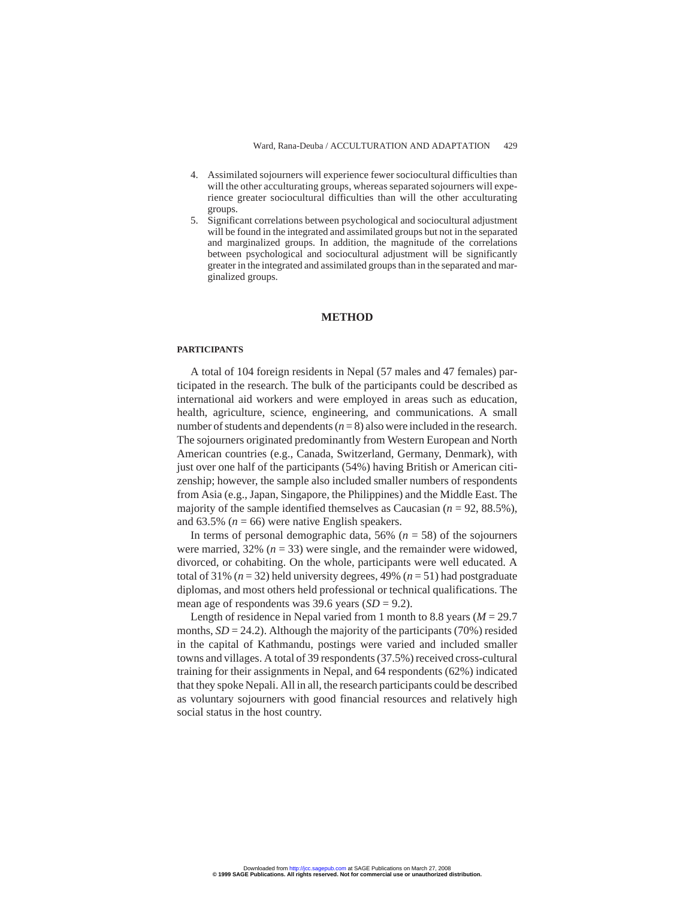- 4. Assimilated sojourners will experience fewer sociocultural difficulties than will the other acculturating groups, whereas separated sojourners will experience greater sociocultural difficulties than will the other acculturating groups.
- 5. Significant correlations between psychological and sociocultural adjustment will be found in the integrated and assimilated groups but not in the separated and marginalized groups. In addition, the magnitude of the correlations between psychological and sociocultural adjustment will be significantly greater in the integrated and assimilated groups than in the separated and marginalized groups.

# **METHOD**

## **PARTICIPANTS**

A total of 104 foreign residents in Nepal (57 males and 47 females) participated in the research. The bulk of the participants could be described as international aid workers and were employed in areas such as education, health, agriculture, science, engineering, and communications. A small number of students and dependents  $(n=8)$  also were included in the research. The sojourners originated predominantly from Western European and North American countries (e.g., Canada, Switzerland, Germany, Denmark), with just over one half of the participants (54%) having British or American citizenship; however, the sample also included smaller numbers of respondents from Asia (e.g., Japan, Singapore, the Philippines) and the Middle East. The majority of the sample identified themselves as Caucasian  $(n = 92, 88.5\%)$ , and  $63.5\%$  ( $n = 66$ ) were native English speakers.

In terms of personal demographic data,  $56\%$  ( $n = 58$ ) of the sojourners were married,  $32\%$  ( $n = 33$ ) were single, and the remainder were widowed, divorced, or cohabiting. On the whole, participants were well educated. A total of 31%  $(n = 32)$  held university degrees, 49%  $(n = 51)$  had postgraduate diplomas, and most others held professional or technical qualifications. The mean age of respondents was 39.6 years (*SD* = 9.2).

Length of residence in Nepal varied from 1 month to 8.8 years  $(M = 29.7)$ months,  $SD = 24.2$ ). Although the majority of the participants (70%) resided in the capital of Kathmandu, postings were varied and included smaller towns and villages. A total of 39 respondents (37.5%) received cross-cultural training for their assignments in Nepal, and 64 respondents (62%) indicated that they spoke Nepali. All in all, the research participants could be described as voluntary sojourners with good financial resources and relatively high social status in the host country.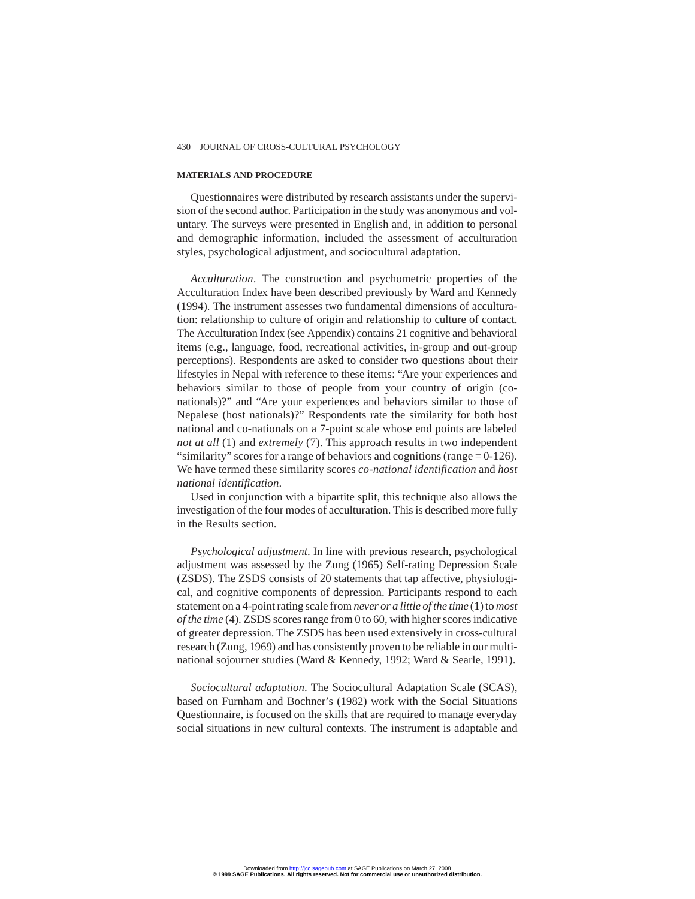## **MATERIALS AND PROCEDURE**

Questionnaires were distributed by research assistants under the supervision of the second author. Participation in the study was anonymous and voluntary. The surveys were presented in English and, in addition to personal and demographic information, included the assessment of acculturation styles, psychological adjustment, and sociocultural adaptation.

*Acculturation*. The construction and psychometric properties of the Acculturation Index have been described previously by Ward and Kennedy (1994). The instrument assesses two fundamental dimensions of acculturation: relationship to culture of origin and relationship to culture of contact. The Acculturation Index (see Appendix) contains 21 cognitive and behavioral items (e.g., language, food, recreational activities, in-group and out-group perceptions). Respondents are asked to consider two questions about their lifestyles in Nepal with reference to these items: "Are your experiences and behaviors similar to those of people from your country of origin (conationals)?" and "Are your experiences and behaviors similar to those of Nepalese (host nationals)?" Respondents rate the similarity for both host national and co-nationals on a 7-point scale whose end points are labeled *not at all* (1) and *extremely* (7). This approach results in two independent "similarity" scores for a range of behaviors and cognitions (range = 0-126). We have termed these similarity scores *co-national identification* and *host national identification*.

Used in conjunction with a bipartite split, this technique also allows the investigation of the four modes of acculturation. This is described more fully in the Results section.

*Psychological adjustment*. In line with previous research, psychological adjustment was assessed by the Zung (1965) Self-rating Depression Scale (ZSDS). The ZSDS consists of 20 statements that tap affective, physiological, and cognitive components of depression. Participants respond to each statement on a 4-point rating scale from *never or a little of the time* (1) to *most of the time* (4). ZSDS scores range from 0 to 60, with higher scores indicative of greater depression. The ZSDS has been used extensively in cross-cultural research (Zung, 1969) and has consistently proven to be reliable in our multinational sojourner studies (Ward & Kennedy, 1992; Ward & Searle, 1991).

*Sociocultural adaptation*. The Sociocultural Adaptation Scale (SCAS), based on Furnham and Bochner's (1982) work with the Social Situations Questionnaire, is focused on the skills that are required to manage everyday social situations in new cultural contexts. The instrument is adaptable and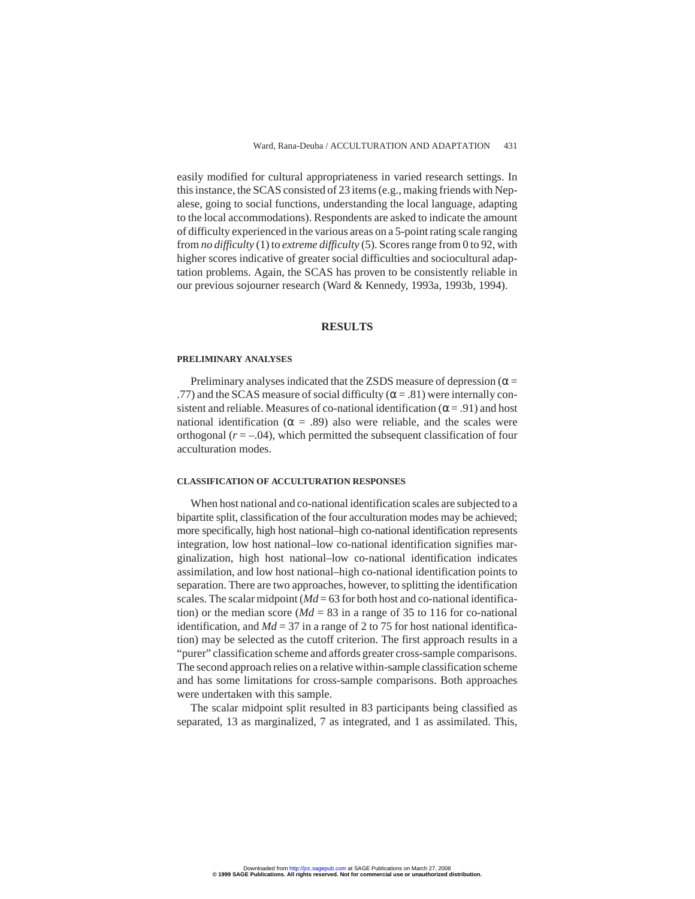easily modified for cultural appropriateness in varied research settings. In this instance, the SCAS consisted of 23 items (e.g., making friends with Nepalese, going to social functions, understanding the local language, adapting to the local accommodations). Respondents are asked to indicate the amount of difficulty experienced in the various areas on a 5-point rating scale ranging from *no difficulty* (1) to *extreme difficulty* (5). Scores range from 0 to 92, with higher scores indicative of greater social difficulties and sociocultural adaptation problems. Again, the SCAS has proven to be consistently reliable in our previous sojourner research (Ward & Kennedy, 1993a, 1993b, 1994).

# **RESULTS**

#### **PRELIMINARY ANALYSES**

Preliminary analyses indicated that the ZSDS measure of depression ( $\alpha$  = .77) and the SCAS measure of social difficulty ( $\alpha$  = .81) were internally consistent and reliable. Measures of co-national identification ( $\alpha$  = .91) and host national identification ( $\alpha = .89$ ) also were reliable, and the scales were orthogonal  $(r = -.04)$ , which permitted the subsequent classification of four acculturation modes.

# **CLASSIFICATION OF ACCULTURATION RESPONSES**

When host national and co-national identification scales are subjected to a bipartite split, classification of the four acculturation modes may be achieved; more specifically, high host national–high co-national identification represents integration, low host national–low co-national identification signifies marginalization, high host national–low co-national identification indicates assimilation, and low host national–high co-national identification points to separation. There are two approaches, however, to splitting the identification scales. The scalar midpoint  $Md = 63$  for both host and co-national identification) or the median score ( $Md = 83$  in a range of 35 to 116 for co-national identification, and  $Md = 37$  in a range of 2 to 75 for host national identification) may be selected as the cutoff criterion. The first approach results in a "purer" classification scheme and affords greater cross-sample comparisons. The second approach relies on a relative within-sample classification scheme and has some limitations for cross-sample comparisons. Both approaches were undertaken with this sample.

The scalar midpoint split resulted in 83 participants being classified as separated, 13 as marginalized, 7 as integrated, and 1 as assimilated. This,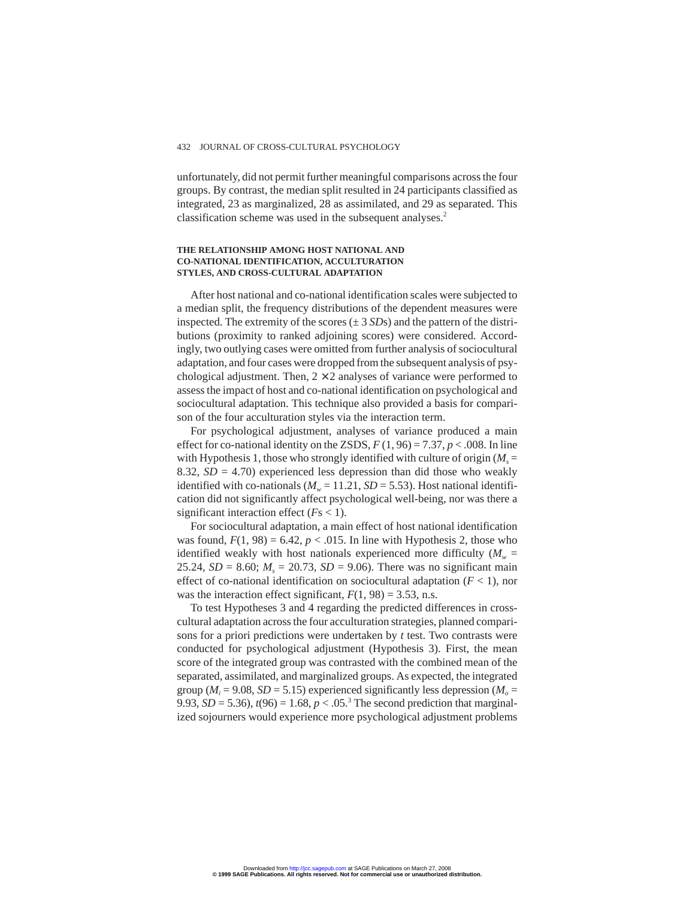unfortunately, did not permit further meaningful comparisons across the four groups. By contrast, the median split resulted in 24 participants classified as integrated, 23 as marginalized, 28 as assimilated, and 29 as separated. This classification scheme was used in the subsequent analyses.2

# **THE RELATIONSHIP AMONG HOST NATIONAL AND CO-NATIONAL IDENTIFICATION, ACCULTURATION STYLES, AND CROSS-CULTURAL ADAPTATION**

After host national and co-national identification scales were subjected to a median split, the frequency distributions of the dependent measures were inspected. The extremity of the scores  $(\pm 3 \text{ SDs})$  and the pattern of the distributions (proximity to ranked adjoining scores) were considered. Accordingly, two outlying cases were omitted from further analysis of sociocultural adaptation, and four cases were dropped from the subsequent analysis of psychological adjustment. Then,  $2 \times 2$  analyses of variance were performed to assess the impact of host and co-national identification on psychological and sociocultural adaptation. This technique also provided a basis for comparison of the four acculturation styles via the interaction term.

For psychological adjustment, analyses of variance produced a main effect for co-national identity on the ZSDS,  $F(1, 96) = 7.37$ ,  $p < .008$ . In line with Hypothesis 1, those who strongly identified with culture of origin  $(M<sub>s</sub> =$ 8.32,  $SD = 4.70$ ) experienced less depression than did those who weakly identified with co-nationals ( $M_w = 11.21$ ,  $SD = 5.53$ ). Host national identification did not significantly affect psychological well-being, nor was there a significant interaction effect (*F*s < 1).

For sociocultural adaptation, a main effect of host national identification was found,  $F(1, 98) = 6.42$ ,  $p < .015$ . In line with Hypothesis 2, those who identified weakly with host nationals experienced more difficulty  $(M_{w} =$ 25.24,  $SD = 8.60$ ;  $M_s = 20.73$ ,  $SD = 9.06$ ). There was no significant main effect of co-national identification on sociocultural adaptation  $(F < 1)$ , nor was the interaction effect significant,  $F(1, 98) = 3.53$ , n.s.

To test Hypotheses 3 and 4 regarding the predicted differences in crosscultural adaptation across the four acculturation strategies, planned comparisons for a priori predictions were undertaken by *t* test. Two contrasts were conducted for psychological adjustment (Hypothesis 3). First, the mean score of the integrated group was contrasted with the combined mean of the separated, assimilated, and marginalized groups. As expected, the integrated group ( $M<sub>i</sub> = 9.08$ , *SD* = 5.15) experienced significantly less depression ( $M<sub>o</sub>$  = 9.93, *SD* = 5.36),  $t(96) = 1.68$ ,  $p < .05<sup>3</sup>$  The second prediction that marginalized sojourners would experience more psychological adjustment problems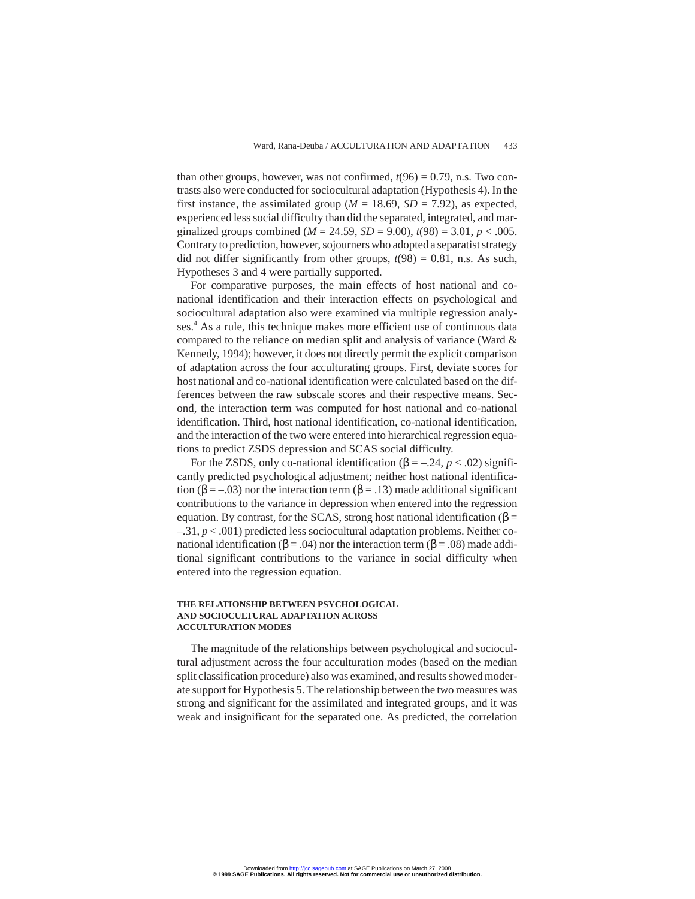than other groups, however, was not confirmed,  $t(96) = 0.79$ , n.s. Two contrasts also were conducted for sociocultural adaptation (Hypothesis 4). In the first instance, the assimilated group ( $M = 18.69$ ,  $SD = 7.92$ ), as expected, experienced less social difficulty than did the separated, integrated, and marginalized groups combined ( $M = 24.59$ ,  $SD = 9.00$ ),  $t(98) = 3.01$ ,  $p < .005$ . Contrary to prediction, however, sojourners who adopted a separatist strategy did not differ significantly from other groups,  $t(98) = 0.81$ , n.s. As such, Hypotheses 3 and 4 were partially supported.

For comparative purposes, the main effects of host national and conational identification and their interaction effects on psychological and sociocultural adaptation also were examined via multiple regression analyses.<sup>4</sup> As a rule, this technique makes more efficient use of continuous data compared to the reliance on median split and analysis of variance (Ward & Kennedy, 1994); however, it does not directly permit the explicit comparison of adaptation across the four acculturating groups. First, deviate scores for host national and co-national identification were calculated based on the differences between the raw subscale scores and their respective means. Second, the interaction term was computed for host national and co-national identification. Third, host national identification, co-national identification, and the interaction of the two were entered into hierarchical regression equations to predict ZSDS depression and SCAS social difficulty.

For the ZSDS, only co-national identification (β = –.24,  $p < .02$ ) significantly predicted psychological adjustment; neither host national identification ( $\beta = -0.03$ ) nor the interaction term ( $\beta = 0.13$ ) made additional significant contributions to the variance in depression when entered into the regression equation. By contrast, for the SCAS, strong host national identification (β =  $-31, p < .001$ ) predicted less sociocultural adaptation problems. Neither conational identification (β = .04) nor the interaction term (β = .08) made additional significant contributions to the variance in social difficulty when entered into the regression equation.

# **THE RELATIONSHIP BETWEEN PSYCHOLOGICAL AND SOCIOCULTURAL ADAPTATION ACROSS ACCULTURATION MODES**

The magnitude of the relationships between psychological and sociocultural adjustment across the four acculturation modes (based on the median split classification procedure) also was examined, and results showed moderate support for Hypothesis 5. The relationship between the two measures was strong and significant for the assimilated and integrated groups, and it was weak and insignificant for the separated one. As predicted, the correlation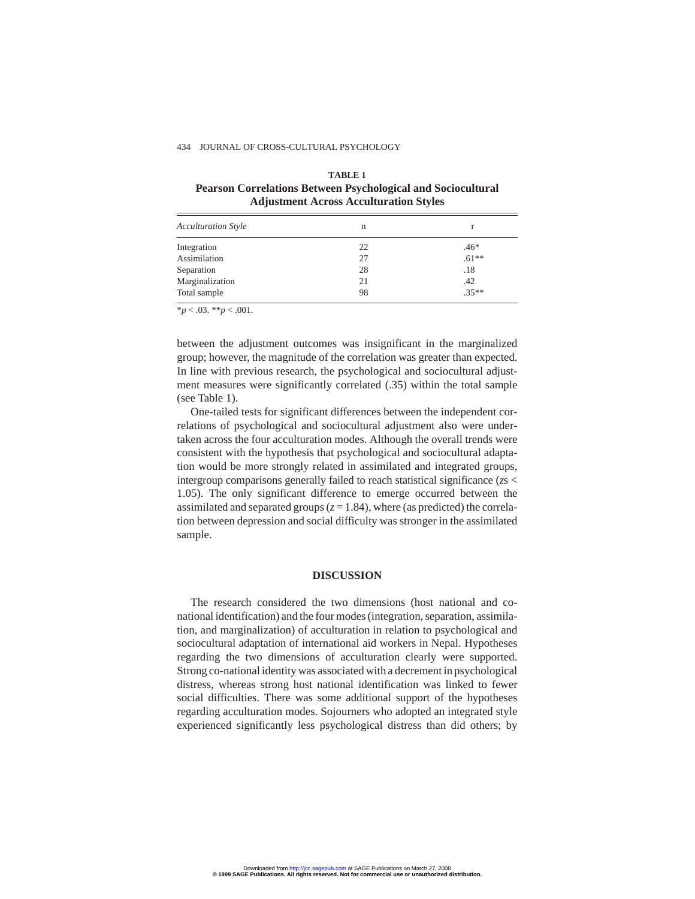| <b>TABLE 1</b>                                                      |  |  |  |
|---------------------------------------------------------------------|--|--|--|
| <b>Pearson Correlations Between Psychological and Sociocultural</b> |  |  |  |
| <b>Adjustment Across Acculturation Styles</b>                       |  |  |  |

| <b>Acculturation Style</b> | n  |         |
|----------------------------|----|---------|
| Integration                | 22 | $.46*$  |
| Assimilation               | 27 | $.61**$ |
| Separation                 | 28 | .18     |
| Marginalization            | 21 | .42     |
| Total sample               | 98 | $.35**$ |

 $\overline{*p}$  < .03.  $\overline{*p}$  < .001.

between the adjustment outcomes was insignificant in the marginalized group; however, the magnitude of the correlation was greater than expected. In line with previous research, the psychological and sociocultural adjustment measures were significantly correlated (.35) within the total sample (see Table 1).

One-tailed tests for significant differences between the independent correlations of psychological and sociocultural adjustment also were undertaken across the four acculturation modes. Although the overall trends were consistent with the hypothesis that psychological and sociocultural adaptation would be more strongly related in assimilated and integrated groups, intergroup comparisons generally failed to reach statistical significance (*z*s < 1.05). The only significant difference to emerge occurred between the assimilated and separated groups  $(z = 1.84)$ , where (as predicted) the correlation between depression and social difficulty was stronger in the assimilated sample.

# **DISCUSSION**

The research considered the two dimensions (host national and conational identification) and the four modes (integration, separation, assimilation, and marginalization) of acculturation in relation to psychological and sociocultural adaptation of international aid workers in Nepal. Hypotheses regarding the two dimensions of acculturation clearly were supported. Strong co-national identity was associated with a decrement in psychological distress, whereas strong host national identification was linked to fewer social difficulties. There was some additional support of the hypotheses regarding acculturation modes. Sojourners who adopted an integrated style experienced significantly less psychological distress than did others; by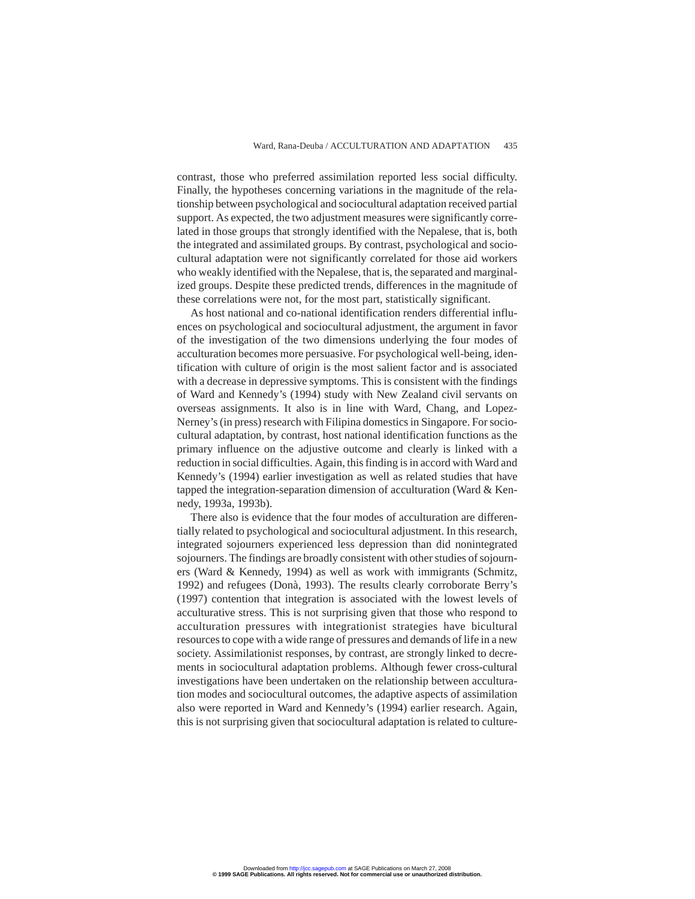contrast, those who preferred assimilation reported less social difficulty. Finally, the hypotheses concerning variations in the magnitude of the relationship between psychological and sociocultural adaptation received partial support. As expected, the two adjustment measures were significantly correlated in those groups that strongly identified with the Nepalese, that is, both the integrated and assimilated groups. By contrast, psychological and sociocultural adaptation were not significantly correlated for those aid workers who weakly identified with the Nepalese, that is, the separated and marginalized groups. Despite these predicted trends, differences in the magnitude of these correlations were not, for the most part, statistically significant.

As host national and co-national identification renders differential influences on psychological and sociocultural adjustment, the argument in favor of the investigation of the two dimensions underlying the four modes of acculturation becomes more persuasive. For psychological well-being, identification with culture of origin is the most salient factor and is associated with a decrease in depressive symptoms. This is consistent with the findings of Ward and Kennedy's (1994) study with New Zealand civil servants on overseas assignments. It also is in line with Ward, Chang, and Lopez-Nerney's (in press) research with Filipina domestics in Singapore. For sociocultural adaptation, by contrast, host national identification functions as the primary influence on the adjustive outcome and clearly is linked with a reduction in social difficulties. Again, this finding is in accord with Ward and Kennedy's (1994) earlier investigation as well as related studies that have tapped the integration-separation dimension of acculturation (Ward & Kennedy, 1993a, 1993b).

There also is evidence that the four modes of acculturation are differentially related to psychological and sociocultural adjustment. In this research, integrated sojourners experienced less depression than did nonintegrated sojourners. The findings are broadly consistent with other studies of sojourners (Ward & Kennedy, 1994) as well as work with immigrants (Schmitz, 1992) and refugees (Donà, 1993). The results clearly corroborate Berry's (1997) contention that integration is associated with the lowest levels of acculturative stress. This is not surprising given that those who respond to acculturation pressures with integrationist strategies have bicultural resources to cope with a wide range of pressures and demands of life in a new society. Assimilationist responses, by contrast, are strongly linked to decrements in sociocultural adaptation problems. Although fewer cross-cultural investigations have been undertaken on the relationship between acculturation modes and sociocultural outcomes, the adaptive aspects of assimilation also were reported in Ward and Kennedy's (1994) earlier research. Again, this is not surprising given that sociocultural adaptation is related to culture-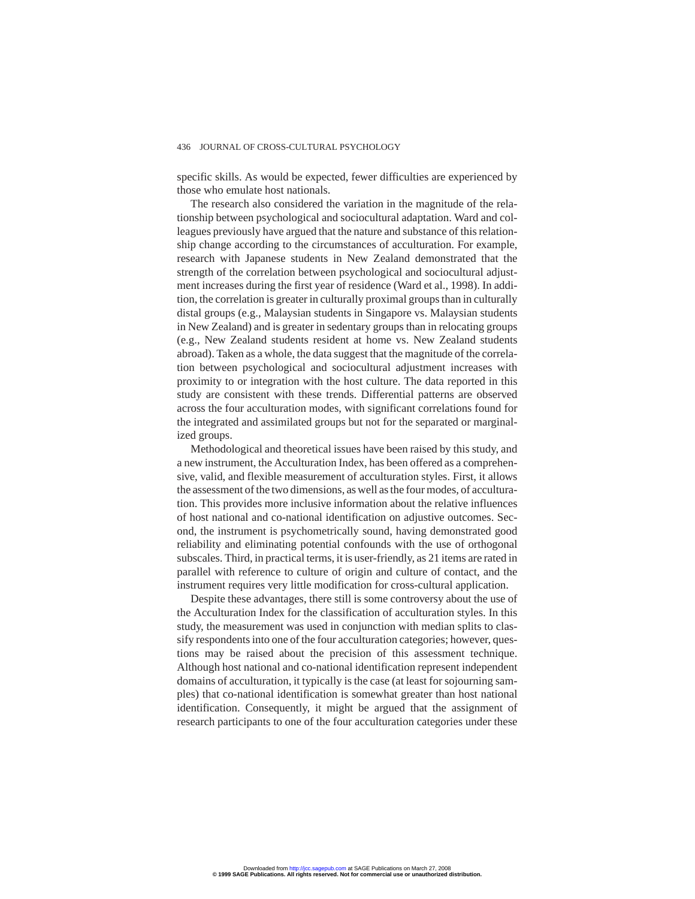specific skills. As would be expected, fewer difficulties are experienced by those who emulate host nationals.

The research also considered the variation in the magnitude of the relationship between psychological and sociocultural adaptation. Ward and colleagues previously have argued that the nature and substance of this relationship change according to the circumstances of acculturation. For example, research with Japanese students in New Zealand demonstrated that the strength of the correlation between psychological and sociocultural adjustment increases during the first year of residence (Ward et al., 1998). In addition, the correlation is greater in culturally proximal groups than in culturally distal groups (e.g., Malaysian students in Singapore vs. Malaysian students in New Zealand) and is greater in sedentary groups than in relocating groups (e.g., New Zealand students resident at home vs. New Zealand students abroad). Taken as a whole, the data suggest that the magnitude of the correlation between psychological and sociocultural adjustment increases with proximity to or integration with the host culture. The data reported in this study are consistent with these trends. Differential patterns are observed across the four acculturation modes, with significant correlations found for the integrated and assimilated groups but not for the separated or marginalized groups.

Methodological and theoretical issues have been raised by this study, and a new instrument, the Acculturation Index, has been offered as a comprehensive, valid, and flexible measurement of acculturation styles. First, it allows the assessment of the two dimensions, as well as the four modes, of acculturation. This provides more inclusive information about the relative influences of host national and co-national identification on adjustive outcomes. Second, the instrument is psychometrically sound, having demonstrated good reliability and eliminating potential confounds with the use of orthogonal subscales. Third, in practical terms, it is user-friendly, as 21 items are rated in parallel with reference to culture of origin and culture of contact, and the instrument requires very little modification for cross-cultural application.

Despite these advantages, there still is some controversy about the use of the Acculturation Index for the classification of acculturation styles. In this study, the measurement was used in conjunction with median splits to classify respondents into one of the four acculturation categories; however, questions may be raised about the precision of this assessment technique. Although host national and co-national identification represent independent domains of acculturation, it typically is the case (at least for sojourning samples) that co-national identification is somewhat greater than host national identification. Consequently, it might be argued that the assignment of research participants to one of the four acculturation categories under these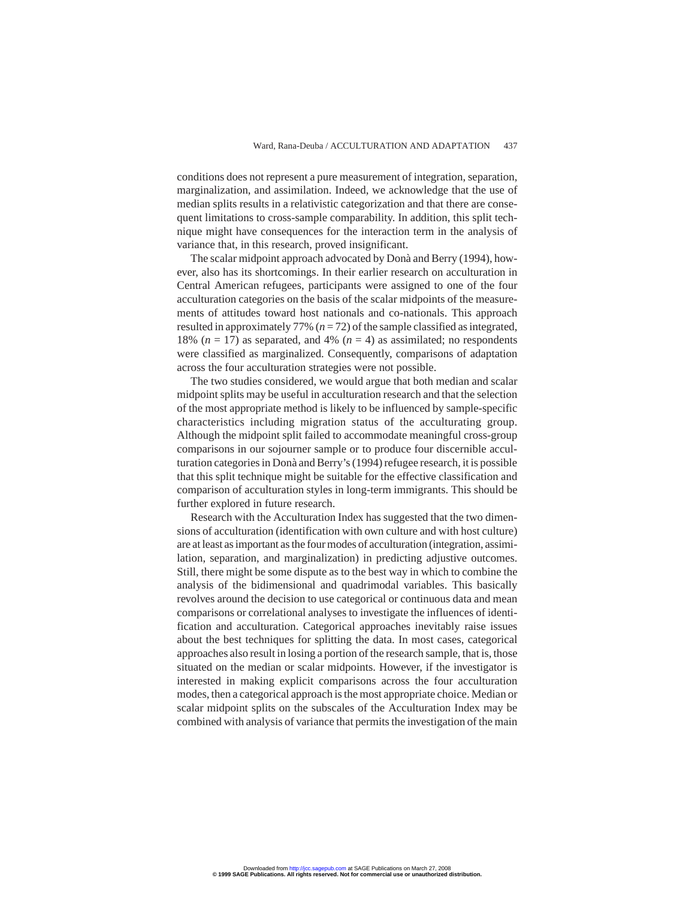conditions does not represent a pure measurement of integration, separation, marginalization, and assimilation. Indeed, we acknowledge that the use of median splits results in a relativistic categorization and that there are consequent limitations to cross-sample comparability. In addition, this split technique might have consequences for the interaction term in the analysis of variance that, in this research, proved insignificant.

The scalar midpoint approach advocated by Donà and Berry (1994), however, also has its shortcomings. In their earlier research on acculturation in Central American refugees, participants were assigned to one of the four acculturation categories on the basis of the scalar midpoints of the measurements of attitudes toward host nationals and co-nationals. This approach resulted in approximately 77% (*n* = 72) of the sample classified as integrated, 18% ( $n = 17$ ) as separated, and 4% ( $n = 4$ ) as assimilated; no respondents were classified as marginalized. Consequently, comparisons of adaptation across the four acculturation strategies were not possible.

The two studies considered, we would argue that both median and scalar midpoint splits may be useful in acculturation research and that the selection of the most appropriate method is likely to be influenced by sample-specific characteristics including migration status of the acculturating group. Although the midpoint split failed to accommodate meaningful cross-group comparisons in our sojourner sample or to produce four discernible acculturation categories in Donà and Berry's (1994) refugee research, it is possible that this split technique might be suitable for the effective classification and comparison of acculturation styles in long-term immigrants. This should be further explored in future research.

Research with the Acculturation Index has suggested that the two dimensions of acculturation (identification with own culture and with host culture) are at least as important as the four modes of acculturation (integration, assimilation, separation, and marginalization) in predicting adjustive outcomes. Still, there might be some dispute as to the best way in which to combine the analysis of the bidimensional and quadrimodal variables. This basically revolves around the decision to use categorical or continuous data and mean comparisons or correlational analyses to investigate the influences of identification and acculturation. Categorical approaches inevitably raise issues about the best techniques for splitting the data. In most cases, categorical approaches also result in losing a portion of the research sample, that is, those situated on the median or scalar midpoints. However, if the investigator is interested in making explicit comparisons across the four acculturation modes, then a categorical approach is the most appropriate choice. Median or scalar midpoint splits on the subscales of the Acculturation Index may be combined with analysis of variance that permits the investigation of the main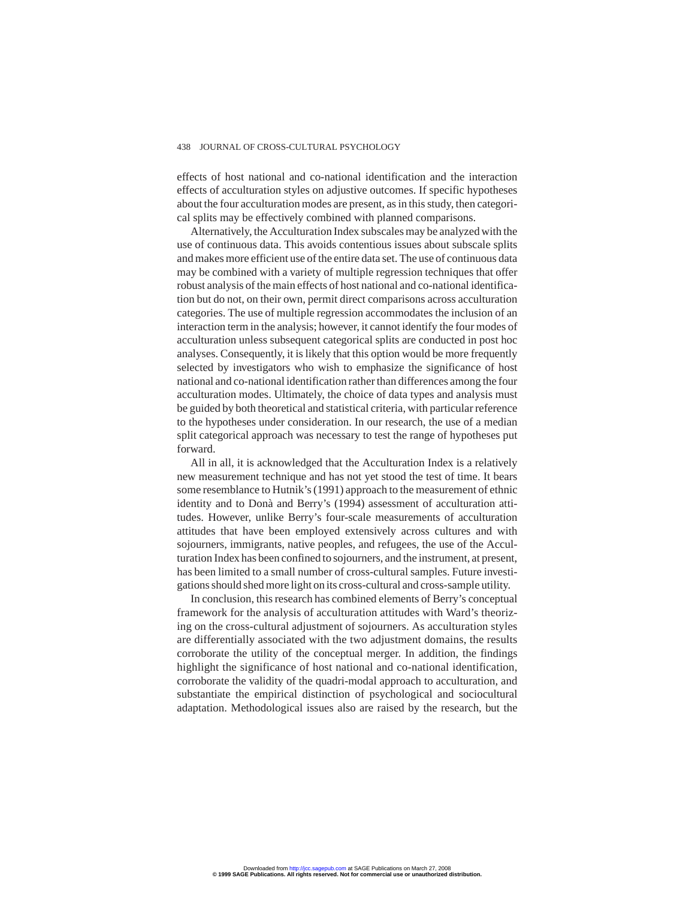effects of host national and co-national identification and the interaction effects of acculturation styles on adjustive outcomes. If specific hypotheses about the four acculturation modes are present, as in this study, then categorical splits may be effectively combined with planned comparisons.

Alternatively, the Acculturation Index subscales may be analyzed with the use of continuous data. This avoids contentious issues about subscale splits and makes more efficient use of the entire data set. The use of continuous data may be combined with a variety of multiple regression techniques that offer robust analysis of the main effects of host national and co-national identification but do not, on their own, permit direct comparisons across acculturation categories. The use of multiple regression accommodates the inclusion of an interaction term in the analysis; however, it cannot identify the four modes of acculturation unless subsequent categorical splits are conducted in post hoc analyses. Consequently, it is likely that this option would be more frequently selected by investigators who wish to emphasize the significance of host national and co-national identification rather than differences among the four acculturation modes. Ultimately, the choice of data types and analysis must be guided by both theoretical and statistical criteria, with particular reference to the hypotheses under consideration. In our research, the use of a median split categorical approach was necessary to test the range of hypotheses put forward.

All in all, it is acknowledged that the Acculturation Index is a relatively new measurement technique and has not yet stood the test of time. It bears some resemblance to Hutnik's (1991) approach to the measurement of ethnic identity and to Donà and Berry's (1994) assessment of acculturation attitudes. However, unlike Berry's four-scale measurements of acculturation attitudes that have been employed extensively across cultures and with sojourners, immigrants, native peoples, and refugees, the use of the Acculturation Index has been confined to sojourners, and the instrument, at present, has been limited to a small number of cross-cultural samples. Future investigations should shed more light on its cross-cultural and cross-sample utility.

In conclusion, this research has combined elements of Berry's conceptual framework for the analysis of acculturation attitudes with Ward's theorizing on the cross-cultural adjustment of sojourners. As acculturation styles are differentially associated with the two adjustment domains, the results corroborate the utility of the conceptual merger. In addition, the findings highlight the significance of host national and co-national identification, corroborate the validity of the quadri-modal approach to acculturation, and substantiate the empirical distinction of psychological and sociocultural adaptation. Methodological issues also are raised by the research, but the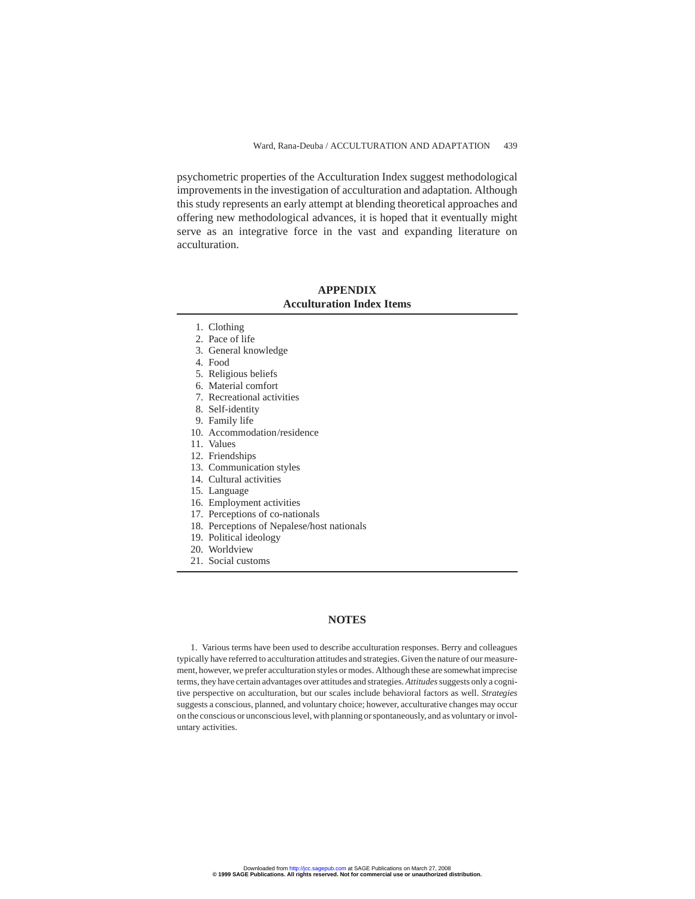psychometric properties of the Acculturation Index suggest methodological improvements in the investigation of acculturation and adaptation. Although this study represents an early attempt at blending theoretical approaches and offering new methodological advances, it is hoped that it eventually might serve as an integrative force in the vast and expanding literature on acculturation.

# **APPENDIX Acculturation Index Items**

- 1. Clothing
- 2. Pace of life
- 3. General knowledge
- 4. Food
- 5. Religious beliefs
- 6. Material comfort
- 7. Recreational activities
- 8. Self-identity
- 9. Family life
- 10. Accommodation/residence
- 11. Values
- 12. Friendships
- 13. Communication styles
- 14. Cultural activities
- 15. Language
- 16. Employment activities
- 17. Perceptions of co-nationals
- 18. Perceptions of Nepalese/host nationals
- 19. Political ideology
- 20. Worldview
- 21. Social customs

# **NOTES**

1. Various terms have been used to describe acculturation responses. Berry and colleagues typically have referred to acculturation attitudes and strategies. Given the nature of our measurement, however, we prefer acculturation styles or modes. Although these are somewhat imprecise terms, they have certain advantages over attitudes and strategies. *Attitudes*suggests only a cognitive perspective on acculturation, but our scales include behavioral factors as well. *Strategies* suggests a conscious, planned, and voluntary choice; however, acculturative changes may occur on the conscious or unconscious level, with planning or spontaneously, and as voluntary or involuntary activities.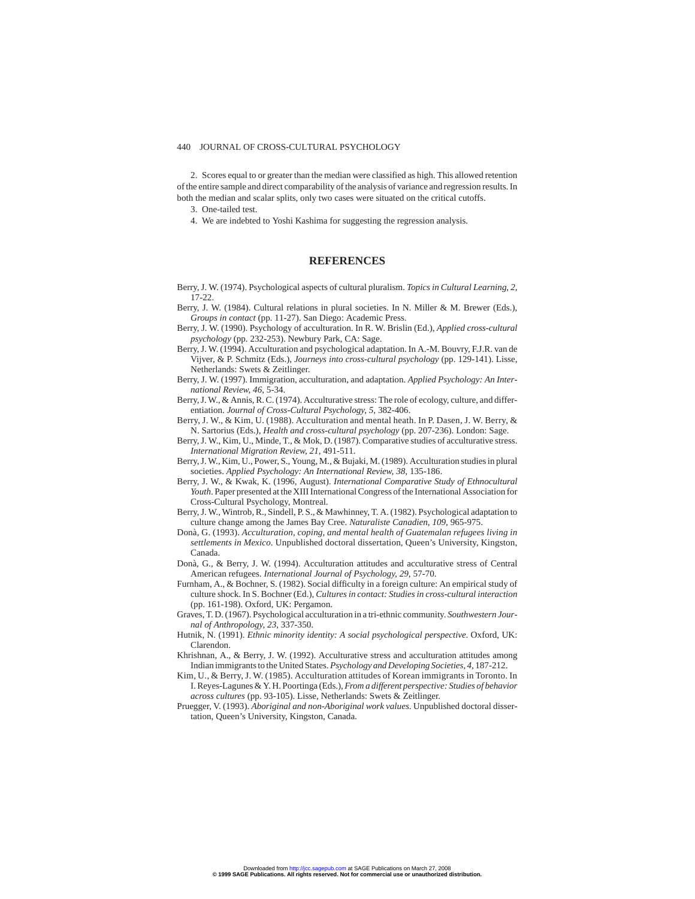2. Scores equal to or greater than the median were classified as high. This allowed retention of the entire sample and direct comparability of the analysis of variance and regression results. In both the median and scalar splits, only two cases were situated on the critical cutoffs.

3. One-tailed test.

4. We are indebted to Yoshi Kashima for suggesting the regression analysis.

# **REFERENCES**

- Berry, J. W. (1974). Psychological aspects of cultural pluralism. *Topics in Cultural Learning*, *2*, 17-22.
- Berry, J. W. (1984). Cultural relations in plural societies. In N. Miller & M. Brewer (Eds.), *Groups in contact* (pp. 11-27). San Diego: Academic Press.
- Berry, J. W. (1990). Psychology of acculturation. In R. W. Brislin (Ed.), *Applied cross-cultural psychology* (pp. 232-253). Newbury Park, CA: Sage.
- Berry, J. W. (1994). Acculturation and psychological adaptation. In A.-M. Bouvry, F.J.R. van de Vijver, & P. Schmitz (Eds.), *Journeys into cross-cultural psychology* (pp. 129-141). Lisse, Netherlands: Swets & Zeitlinger.
- Berry, J. W. (1997). Immigration, acculturation, and adaptation. *Applied Psychology: An International Review*, *46*, 5-34.
- Berry, J. W., & Annis, R. C. (1974). Acculturative stress: The role of ecology, culture, and differentiation. *Journal of Cross-Cultural Psychology*, *5*, 382-406.
- Berry, J. W., & Kim, U. (1988). Acculturation and mental heath. In P. Dasen, J. W. Berry, & N. Sartorius (Eds.), *Health and cross-cultural psychology* (pp. 207-236). London: Sage.
- Berry, J. W., Kim, U., Minde, T., & Mok, D. (1987). Comparative studies of acculturative stress. *International Migration Review*, *21*, 491-511.
- Berry, J. W., Kim, U., Power, S., Young, M., & Bujaki, M. (1989). Acculturation studies in plural societies. *Applied Psychology: An International Review*, *38*, 135-186.
- Berry, J. W., & Kwak, K. (1996, August). *International Comparative Study of Ethnocultural Youth*. Paper presented at the XIII International Congress of the International Association for Cross-Cultural Psychology, Montreal.
- Berry, J. W., Wintrob, R., Sindell, P. S., & Mawhinney, T. A. (1982). Psychological adaptation to culture change among the James Bay Cree. *Naturaliste Canadien*, *109*, 965-975.
- Donà, G. (1993). *Acculturation, coping, and mental health of Guatemalan refugees living in settlements in Mexico*. Unpublished doctoral dissertation, Queen's University, Kingston, Canada.
- Donà, G., & Berry, J. W. (1994). Acculturation attitudes and acculturative stress of Central American refugees. *International Journal of Psychology*, *29*, 57-70.
- Furnham, A., & Bochner, S. (1982). Social difficulty in a foreign culture: An empirical study of culture shock. In S. Bochner (Ed.), *Cultures in contact: Studies in cross-cultural interaction* (pp. 161-198). Oxford, UK: Pergamon.
- Graves, T. D. (1967). Psychological acculturation in a tri-ethnic community. *Southwestern Journal of Anthropology*, *23*, 337-350.
- Hutnik, N. (1991). *Ethnic minority identity: A social psychological perspective*. Oxford, UK: Clarendon.
- Khrishnan, A., & Berry, J. W. (1992). Acculturative stress and acculturation attitudes among Indian immigrants to the United States.*Psychology and Developing Societies*, *4*, 187-212.
- Kim, U., & Berry, J. W. (1985). Acculturation attitudes of Korean immigrants in Toronto. In I. Reyes-Lagunes & Y. H. Poortinga (Eds.), *From a different perspective: Studies of behavior across cultures* (pp. 93-105). Lisse, Netherlands: Swets & Zeitlinger.
- Pruegger, V. (1993). *Aboriginal and non-Aboriginal work values*. Unpublished doctoral dissertation, Queen's University, Kingston, Canada.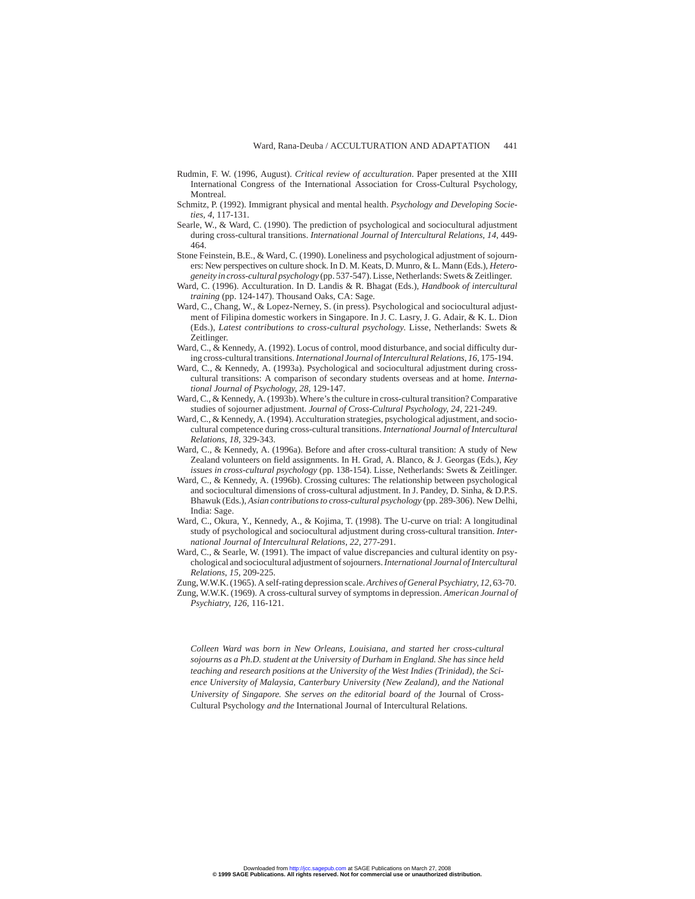- Rudmin, F. W. (1996, August). *Critical review of acculturation*. Paper presented at the XIII International Congress of the International Association for Cross-Cultural Psychology, Montreal.
- Schmitz, P. (1992). Immigrant physical and mental health. *Psychology and Developing Societies*, *4*, 117-131.
- Searle, W., & Ward, C. (1990). The prediction of psychological and sociocultural adjustment during cross-cultural transitions. *International Journal of Intercultural Relations*, *14*, 449- 464.
- Stone Feinstein, B.E., & Ward, C. (1990). Loneliness and psychological adjustment of sojourners: New perspectives on culture shock. In D. M. Keats, D. Munro, & L. Mann (Eds.), *Heterogeneity in cross-cultural psychology* (pp. 537-547). Lisse, Netherlands: Swets & Zeitlinger.
- Ward, C. (1996). Acculturation. In D. Landis & R. Bhagat (Eds.), *Handbook of intercultural training* (pp. 124-147). Thousand Oaks, CA: Sage.
- Ward, C., Chang, W., & Lopez-Nerney, S. (in press). Psychological and sociocultural adjustment of Filipina domestic workers in Singapore. In J. C. Lasry, J. G. Adair, & K. L. Dion (Eds.), *Latest contributions to cross-cultural psychology*. Lisse, Netherlands: Swets & Zeitlinger.
- Ward, C., & Kennedy, A. (1992). Locus of control, mood disturbance, and social difficulty during cross-cultural transitions.*International Journal of Intercultural Relations*, *16*, 175-194.
- Ward, C., & Kennedy, A. (1993a). Psychological and sociocultural adjustment during crosscultural transitions: A comparison of secondary students overseas and at home. *International Journal of Psychology*, *28*, 129-147.
- Ward, C., & Kennedy, A. (1993b). Where's the culture in cross-cultural transition? Comparative studies of sojourner adjustment. *Journal of Cross-Cultural Psychology*, *24*, 221-249.
- Ward, C., & Kennedy, A. (1994). Acculturation strategies, psychological adjustment, and sociocultural competence during cross-cultural transitions. *International Journal of Intercultural Relations*, *18*, 329-343.
- Ward, C., & Kennedy, A. (1996a). Before and after cross-cultural transition: A study of New Zealand volunteers on field assignments. In H. Grad, A. Blanco, & J. Georgas (Eds.), *Key issues in cross-cultural psychology* (pp. 138-154). Lisse, Netherlands: Swets & Zeitlinger.
- Ward, C., & Kennedy, A. (1996b). Crossing cultures: The relationship between psychological and sociocultural dimensions of cross-cultural adjustment. In J. Pandey, D. Sinha, & D.P.S. Bhawuk (Eds.), *Asian contributions to cross-cultural psychology* (pp. 289-306). New Delhi, India: Sage.
- Ward, C., Okura, Y., Kennedy, A., & Kojima, T. (1998). The U-curve on trial: A longitudinal study of psychological and sociocultural adjustment during cross-cultural transition. *International Journal of Intercultural Relations*, *22*, 277-291.
- Ward, C., & Searle, W. (1991). The impact of value discrepancies and cultural identity on psychological and sociocultural adjustment of sojourners.*International Journal of Intercultural Relations*, *15*, 209-225.
- Zung, W.W.K. (1965). A self-rating depression scale.*Archives of General Psychiatry*, *12*, 63-70.
- Zung, W.W.K. (1969). A cross-cultural survey of symptoms in depression. *American Journal of Psychiatry*, *126*, 116-121.

*Colleen Ward was born in New Orleans, Louisiana, and started her cross-cultural sojourns as a Ph.D. student at the University of Durham in England. She has since held teaching and research positions at the University of the West Indies (Trinidad), the Science University of Malaysia, Canterbury University (New Zealand), and the National University of Singapore. She serves on the editorial board of the* Journal of Cross-Cultural Psychology *and the* International Journal of Intercultural Relations*.*